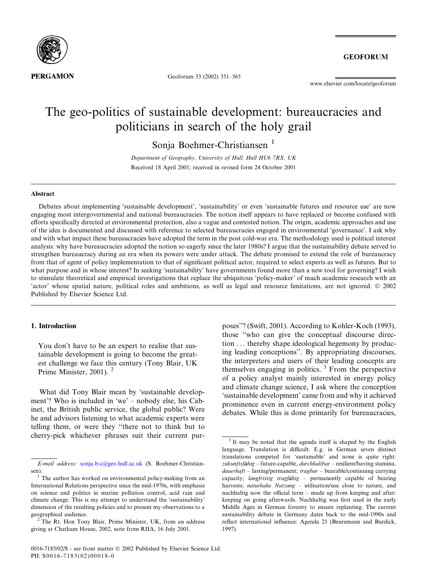

Geoforum 33 (2002) 351–365

**GEOFORUM** 

www.elsevier.com/locate/geoforum

# The geo-politics of sustainable development: bureaucracies and politicians in search of the holy grail

Sonia Boehmer-Christiansen<sup>1</sup>

Department of Geography, University of Hull, Hull HU6 7RX, UK Received 18 April 2001; received in revised form 24 October 2001

#### Abstract

Debates about implementing 'sustainable development', 'sustainability' or even 'sustainable futures and resource use' are now engaging most intergovernmental and national bureaucracies. The notion itself appears to have replaced or become confused with efforts specifically directed at environmental protection, also a vague and contested notion. The origin, academic approaches and use of the idea is documented and discussed with reference to selected bureaucracies engaged in environmental 'governance'. I ask why and with what impact these bureaucracies have adopted the term in the post cold-war era. The methodology used is political interest analysis: why have bureaucracies adopted the notion so eagerly since the later 1980s? I argue that the sustainability debate served to strengthen bureaucracy during an era when its powers were under attack. The debate promised to extend the role of bureaucracy from that of agent of policy implementation to that of significant political actor, required to select experts as well as futures. But to what purpose and in whose interest? In seeking 'sustainability' have governments found more than a new tool for governing? I wish to stimulate theoretical and empirical investigations that replace the ubiquitous 'policy-maker' of much academic research with an 'actor' whose spatial nature, political roles and ambitions, as well as legal and resource limitations, are not ignored. 2002 Published by Elsevier Science Ltd.

#### 1. Introduction

You don't have to be an expert to realise that sustainable development is going to become the greatest challenge we face this century (Tony Blair, UK Prime Minister, 2001). <sup>2</sup>

What did Tony Blair mean by 'sustainable development'? Who is included in 'we' – nobody else, his Cabinet, the British public service, the global public? Were he and advisors listening to what academic experts were telling them, or were they ''there not to think but to cherry-pick whichever phrases suit their current purposes''? (Swift, 2001). According to Kohler-Koch (1993), those ''who can give the conceptual discourse direction ... thereby shape ideological hegemony by producing leading conceptions''. By appropriating discourses, the interpreters and users of their leading concepts are themselves engaging in politics. <sup>3</sup> From the perspective of a policy analyst mainly interested in energy policy and climate change science, I ask where the conception 'sustainable development' came from and why it achieved prominence even in current energy-environment policy debates. While this is done primarily for bureaucracies,

E-mail address: [sonja.b-c@geo.hull.ac.uk](mail to: sonja.b-c@geo.hull.ac.uk) (S. Boehmer-Christiansen).

 $1$ <sup>1</sup> The author has worked on environmental policy-making from an International Relations perspective since the mid-1970s, with emphasis on science and politics in marine pollution control, acid rain and climate change. This is my attempt to understand the 'sustainability' dimension of the resulting policies and to present my observations to a geographical audience. <sup>2</sup> The Rt. Hon Tony Blair, Prime Minister, UK, from an address

giving at Chatham House, 2002, note from RIIA, 16 July 2001.

<sup>&</sup>lt;sup>3</sup> It may be noted that the agenda itself is shaped by the English language. Translation is difficult. E.g. in German seven distinct translations competed for 'sustainable' and none is quite right:  $zukunftsfähig - future-capable, durchhaltbar - resilient/having stamina,$  $dauerh$  – lasting/permanent; tragbar – bearable/continuing carrying capacity; langfristig tragfahig – permanently capable of bearing harvests; naturhahe Nutzung - utilisation/use close to nature, and nachhaltig now the official term – made up from keeping and after: keeping on going afterwards. Nachhaltig was first used in the early Middle Ages in German forestry to ensure replanting. The current sustainability debate in Germany dates back to the mid-1990s and reflect international influence: Agenda 21 (Beuremann and Burdick, 1997).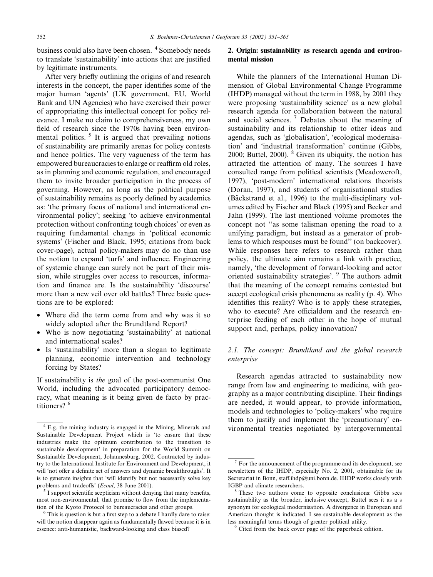business could also have been chosen. <sup>4</sup> Somebody needs to translate 'sustainability' into actions that are justified by legitimate instruments.

After very briefly outlining the origins of and research interests in the concept, the paper identifies some of the major human 'agents' (UK government, EU, World Bank and UN Agencies) who have exercised their power of appropriating this intellectual concept for policy relevance. I make no claim to comprehensiveness, my own field of research since the 1970s having been environmental politics.  $5$  It is argued that prevailing notions of sustainability are primarily arenas for policy contests and hence politics. The very vagueness of the term has empowered bureaucracies to enlarge or reaffirm old roles, as in planning and economic regulation, and encouraged them to invite broader participation in the process of governing. However, as long as the political purpose of sustainability remains as poorly defined by academics as: 'the primary focus of national and international environmental policy'; seeking 'to achieve environmental protection without confronting tough choices' or even as requiring fundamental change in 'political economic systems' (Fischer and Black, 1995; citations from back cover-page), actual policy-makers may do no than use the notion to expand 'turfs' and influence. Engineering of systemic change can surely not be part of their mission, while struggles over access to resources, information and finance are. Is the sustainability 'discourse' more than a new veil over old battles? Three basic questions are to be explored:

- Where did the term come from and why was it so widely adopted after the Brundtland Report?
- Who is now negotiating 'sustainability' at national and international scales?
- Is 'sustainability' more than a slogan to legitimate planning, economic intervention and technology forcing by States?

If sustainability is the goal of the post-communist One World, including the advocated participatory democracy, what meaning is it being given de facto by practitioners?<sup>6</sup>

### 2. Origin: sustainability as research agenda and environmental mission

While the planners of the International Human Dimension of Global Environmental Change Programme (IHDP) managed without the term in 1988, by 2001 they were proposing 'sustainability science' as a new global research agenda for collaboration between the natural and social sciences. <sup>7</sup> Debates about the meaning of sustainability and its relationship to other ideas and agendas, such as 'globalisation', 'ecological modernisation' and 'industrial transformation' continue (Gibbs, 2000; Buttel, 2000).  $8$  Given its ubiquity, the notion has attracted the attention of many. The sources I have consulted range from political scientists (Meadowcroft, 1997), 'post-modern' international relations theorists (Doran, 1997), and students of organisational studies (Bäckstrand et al., 1996) to the multi-disciplinary volumes edited by Fischer and Black (1995) and Becker and Jahn (1999). The last mentioned volume promotes the concept not ''as some talisman opening the road to a unifying paradigm, but instead as a generator of problems to which responses must be found'' (on backcover). While responses here refers to research rather than policy, the ultimate aim remains a link with practice, namely, 'the development of forward-looking and actor oriented sustainability strategies'. <sup>9</sup> The authors admit that the meaning of the concept remains contested but accept ecological crisis phenomena as reality (p. 4). Who identifies this reality? Who is to apply these strategies, who to execute? Are officialdom and the research enterprise feeding of each other in the hope of mutual support and, perhaps, policy innovation?

### 2.1. The concept: Brundtland and the global research enterprise

Research agendas attracted to sustainability now range from law and engineering to medicine, with geography as a major contributing discipline. Their findings are needed, it would appear, to provide information, models and technologies to 'policy-makers' who require them to justify and implement the 'precautionary' en-<sup>4</sup> E.g. the mining industry is engaged in the Mining, Minerals and vironmental treaties negotiated by intergovernmental

Sustainable Development Project which is 'to ensure that these industries make the optimum contribution to the transition to sustainable development' in preparation for the World Summit on Sustainable Development, Johannesburg, 2002. Contracted by industry to the International Institute for Environment and Development, it will 'not offer a definite set of answers and dynamic breakthroughs'. It is to generate insights that 'will identify but not necessarily solve key problems and tradeoffs' (*Ecoal*, 38 June 2001).  $\frac{5}{1}$  I support scientific scepticism without denying that many benefits,

most non-environmental, that promise to flow from the implementa-

tion of the Kyoto Protocol to bureaucracies and other groups.<br><sup>6</sup> This is question is but a first step to a debate I hardly dare to raise: will the notion disappear again as fundamentally flawed because it is in essence: anti-humanistic, backward-looking and class biased?

 $<sup>7</sup>$  For the announcement of the programme and its development, see</sup> newsletters of the IHDP, especially No. 2, 2001, obtainable for its Secretariat in Bonn, staff.ihdp@uni.bonn.de. IHDP works closely with IGBP and climate researchers. <sup>8</sup> These two authors come to opposite conclusions: Gibbs sees

sustainability as the broader, inclusive concept, Buttel sees it as a s synonym for ecological modernisation. A divergence in European and American thought is indicated. I see sustainable development as the less meaningful terms though of greater political utility.

<sup>&</sup>lt;sup>9</sup> Cited from the back cover page of the paperback edition.